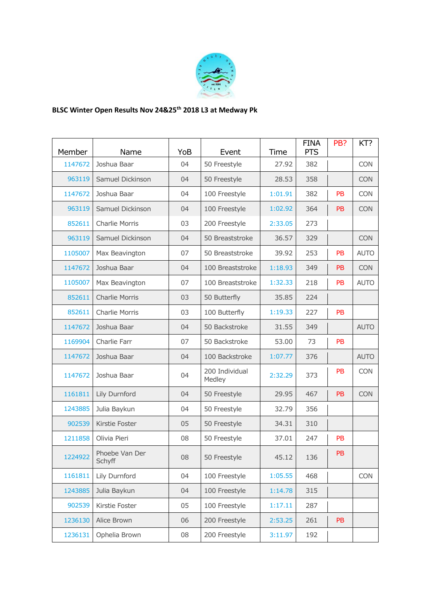

## **BLSC Winter Open Results Nov 24&25th 2018 L3 at Medway Pk**

| Member  | Name                     | YoB | Event                    | Time    | <b>FINA</b><br><b>PTS</b> | PB?       | KT?         |
|---------|--------------------------|-----|--------------------------|---------|---------------------------|-----------|-------------|
| 1147672 | Joshua Baar              | 04  | 50 Freestyle             | 27.92   | 382                       |           | <b>CON</b>  |
| 963119  | Samuel Dickinson         | 04  | 50 Freestyle             | 28.53   | 358                       |           | <b>CON</b>  |
| 1147672 | Joshua Baar              | 04  | 100 Freestyle            | 1:01.91 | 382                       | PB        | <b>CON</b>  |
| 963119  | Samuel Dickinson         | 04  | 100 Freestyle            | 1:02.92 | 364                       | <b>PB</b> | <b>CON</b>  |
| 852611  | Charlie Morris           | 03  | 200 Freestyle            | 2:33.05 | 273                       |           |             |
| 963119  | Samuel Dickinson         | 04  | 50 Breaststroke          | 36.57   | 329                       |           | <b>CON</b>  |
| 1105007 | Max Beavington           | 07  | 50 Breaststroke          | 39.92   | 253                       | <b>PB</b> | <b>AUTO</b> |
| 1147672 | Joshua Baar              | 04  | 100 Breaststroke         | 1:18.93 | 349                       | PB        | <b>CON</b>  |
| 1105007 | Max Beavington           | 07  | 100 Breaststroke         | 1:32.33 | 218                       | PB        | <b>AUTO</b> |
| 852611  | <b>Charlie Morris</b>    | 03  | 50 Butterfly             | 35.85   | 224                       |           |             |
| 852611  | Charlie Morris           | 03  | 100 Butterfly            | 1:19.33 | 227                       | PB        |             |
| 1147672 | Joshua Baar              | 04  | 50 Backstroke            | 31.55   | 349                       |           | <b>AUTO</b> |
| 1169904 | Charlie Farr             | 07  | 50 Backstroke            | 53.00   | 73                        | PB        |             |
| 1147672 | Joshua Baar              | 04  | 100 Backstroke           | 1:07.77 | 376                       |           | <b>AUTO</b> |
| 1147672 | Joshua Baar              | 04  | 200 Individual<br>Medley | 2:32.29 | 373                       | <b>PB</b> | <b>CON</b>  |
| 1161811 | Lily Durnford            | 04  | 50 Freestyle             | 29.95   | 467                       | PB        | <b>CON</b>  |
| 1243885 | Julia Baykun             | 04  | 50 Freestyle             | 32.79   | 356                       |           |             |
| 902539  | Kirstie Foster           | 05  | 50 Freestyle             | 34.31   | 310                       |           |             |
| 1211858 | Olivia Pieri             | 08  | 50 Freestyle             | 37.01   | 247                       | PB        |             |
| 1224922 | Phoebe Van Der<br>Schyff | 08  | 50 Freestyle             | 45.12   | 136                       | PB        |             |
| 1161811 | Lily Durnford            | 04  | 100 Freestyle            | 1:05.55 | 468                       |           | <b>CON</b>  |
| 1243885 | Julia Baykun             | 04  | 100 Freestyle            | 1:14.78 | 315                       |           |             |
| 902539  | Kirstie Foster           | 05  | 100 Freestyle            | 1:17.11 | 287                       |           |             |
| 1236130 | Alice Brown              | 06  | 200 Freestyle            | 2:53.25 | 261                       | <b>PB</b> |             |
| 1236131 | Ophelia Brown            | 08  | 200 Freestyle            | 3:11.97 | 192                       |           |             |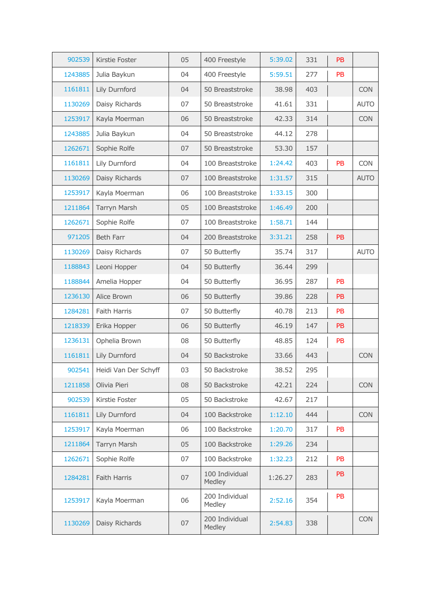| 902539  | Kirstie Foster       | 05 | 400 Freestyle            | 5:39.02 | 331 | <b>PB</b> |             |
|---------|----------------------|----|--------------------------|---------|-----|-----------|-------------|
| 1243885 | Julia Baykun         | 04 | 400 Freestyle            | 5:59.51 | 277 | <b>PB</b> |             |
| 1161811 | Lily Durnford        | 04 | 50 Breaststroke          | 38.98   | 403 |           | <b>CON</b>  |
| 1130269 | Daisy Richards       | 07 | 50 Breaststroke          | 41.61   | 331 |           | <b>AUTO</b> |
| 1253917 | Kayla Moerman        | 06 | 50 Breaststroke          | 42.33   | 314 |           | <b>CON</b>  |
| 1243885 | Julia Baykun         | 04 | 50 Breaststroke          | 44.12   | 278 |           |             |
| 1262671 | Sophie Rolfe         | 07 | 50 Breaststroke          | 53.30   | 157 |           |             |
| 1161811 | Lily Durnford        | 04 | 100 Breaststroke         | 1:24.42 | 403 | PB        | <b>CON</b>  |
| 1130269 | Daisy Richards       | 07 | 100 Breaststroke         | 1:31.57 | 315 |           | <b>AUTO</b> |
| 1253917 | Kayla Moerman        | 06 | 100 Breaststroke         | 1:33.15 | 300 |           |             |
| 1211864 | Tarryn Marsh         | 05 | 100 Breaststroke         | 1:46.49 | 200 |           |             |
| 1262671 | Sophie Rolfe         | 07 | 100 Breaststroke         | 1:58.71 | 144 |           |             |
| 971205  | <b>Beth Farr</b>     | 04 | 200 Breaststroke         | 3:31.21 | 258 | <b>PB</b> |             |
| 1130269 | Daisy Richards       | 07 | 50 Butterfly             | 35.74   | 317 |           | <b>AUTO</b> |
| 1188843 | Leoni Hopper         | 04 | 50 Butterfly             | 36.44   | 299 |           |             |
| 1188844 | Amelia Hopper        | 04 | 50 Butterfly             | 36.95   | 287 | PB        |             |
| 1236130 | Alice Brown          | 06 | 50 Butterfly             | 39.86   | 228 | <b>PB</b> |             |
| 1284281 | Faith Harris         | 07 | 50 Butterfly             | 40.78   | 213 | PB        |             |
| 1218339 | Erika Hopper         | 06 | 50 Butterfly             | 46.19   | 147 | <b>PB</b> |             |
| 1236131 | Ophelia Brown        | 08 | 50 Butterfly             | 48.85   | 124 | <b>PB</b> |             |
| 1161811 | Lily Durnford        | 04 | 50 Backstroke            | 33.66   | 443 |           | <b>CON</b>  |
| 902541  | Heidi Van Der Schyff | 03 | 50 Backstroke            | 38.52   | 295 |           |             |
| 1211858 | Olivia Pieri         | 08 | 50 Backstroke            | 42.21   | 224 |           | <b>CON</b>  |
| 902539  | Kirstie Foster       | 05 | 50 Backstroke            | 42.67   | 217 |           |             |
| 1161811 | Lily Durnford        | 04 | 100 Backstroke           | 1:12.10 | 444 |           | <b>CON</b>  |
| 1253917 | Kayla Moerman        | 06 | 100 Backstroke           | 1:20.70 | 317 | PB        |             |
| 1211864 | Tarryn Marsh         | 05 | 100 Backstroke           | 1:29.26 | 234 |           |             |
| 1262671 | Sophie Rolfe         | 07 | 100 Backstroke           | 1:32.23 | 212 | <b>PB</b> |             |
| 1284281 | Faith Harris         | 07 | 100 Individual<br>Medley | 1:26.27 | 283 | <b>PB</b> |             |
| 1253917 | Kayla Moerman        | 06 | 200 Individual<br>Medley | 2:52.16 | 354 | PB        |             |
| 1130269 | Daisy Richards       | 07 | 200 Individual<br>Medley | 2:54.83 | 338 |           | <b>CON</b>  |